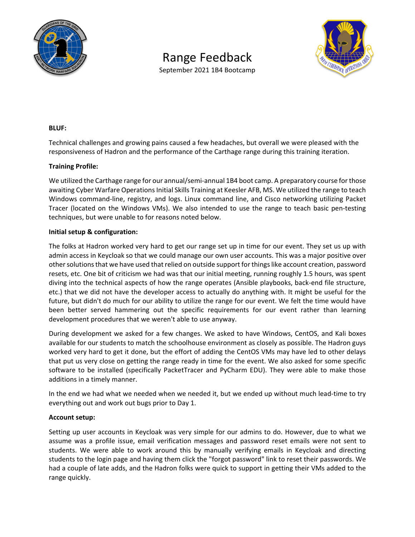

# Range Feedback





#### **BLUF:**

Technical challenges and growing pains caused a few headaches, but overall we were pleased with the responsiveness of Hadron and the performance of the Carthage range during this training iteration.

#### **Training Profile:**

We utilized the Carthage range for our annual/semi-annual 1B4 boot camp. A preparatory course for those awaiting Cyber Warfare Operations Initial Skills Training at Keesler AFB, MS. We utilized the range to teach Windows command‐line, registry, and logs. Linux command line, and Cisco networking utilizing Packet Tracer (located on the Windows VMs). We also intended to use the range to teach basic pen‐testing techniques, but were unable to for reasons noted below.

#### **Initial setup & configuration:**

The folks at Hadron worked very hard to get our range set up in time for our event. They set us up with admin access in Keycloak so that we could manage our own user accounts. This was a major positive over other solutions that we have used that relied on outside support for things like account creation, password resets, etc. One bit of criticism we had was that our initial meeting, running roughly 1.5 hours, was spent diving into the technical aspects of how the range operates (Ansible playbooks, back‐end file structure, etc.) that we did not have the developer access to actually do anything with. It might be useful for the future, but didn't do much for our ability to utilize the range for our event. We felt the time would have been better served hammering out the specific requirements for our event rather than learning development procedures that we weren't able to use anyway.

During development we asked for a few changes. We asked to have Windows, CentOS, and Kali boxes available for our students to match the schoolhouse environment as closely as possible. The Hadron guys worked very hard to get it done, but the effort of adding the CentOS VMs may have led to other delays that put us very close on getting the range ready in time for the event. We also asked for some specific software to be installed (specifically PacketTracer and PyCharm EDU). They were able to make those additions in a timely manner.

In the end we had what we needed when we needed it, but we ended up without much lead‐time to try everything out and work out bugs prior to Day 1.

# **Account setup:**

Setting up user accounts in Keycloak was very simple for our admins to do. However, due to what we assume was a profile issue, email verification messages and password reset emails were not sent to students. We were able to work around this by manually verifying emails in Keycloak and directing students to the login page and having them click the "forgot password" link to reset their passwords. We had a couple of late adds, and the Hadron folks were quick to support in getting their VMs added to the range quickly.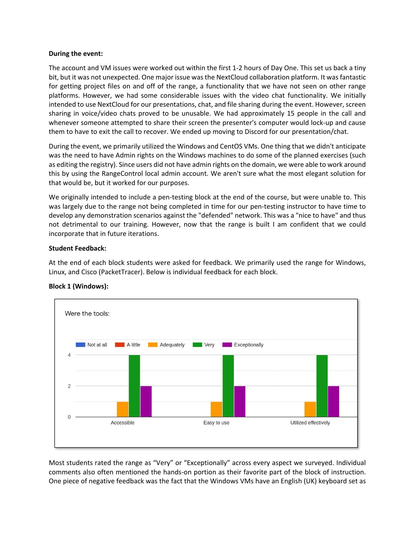#### **During the event:**

The account and VM issues were worked out within the first 1‐2 hours of Day One. This set us back a tiny bit, but it was not unexpected. One major issue was the NextCloud collaboration platform. It was fantastic for getting project files on and off of the range, a functionality that we have not seen on other range platforms. However, we had some considerable issues with the video chat functionality. We initially intended to use NextCloud for our presentations, chat, and file sharing during the event. However, screen sharing in voice/video chats proved to be unusable. We had approximately 15 people in the call and whenever someone attempted to share their screen the presenter's computer would lock‐up and cause them to have to exit the call to recover. We ended up moving to Discord for our presentation/chat.

During the event, we primarily utilized the Windows and CentOS VMs. One thing that we didn't anticipate was the need to have Admin rights on the Windows machines to do some of the planned exercises (such as editing the registry). Since users did not have admin rights on the domain, we were able to work around this by using the RangeControl local admin account. We aren't sure what the most elegant solution for that would be, but it worked for our purposes.

We originally intended to include a pen-testing block at the end of the course, but were unable to. This was largely due to the range not being completed in time for our pen-testing instructor to have time to develop any demonstration scenarios against the "defended" network. This was a "nice to have" and thus not detrimental to our training. However, now that the range is built I am confident that we could incorporate that in future iterations.

# **Student Feedback:**

At the end of each block students were asked for feedback. We primarily used the range for Windows, Linux, and Cisco (PacketTracer). Below is individual feedback for each block.



# **Block 1 (Windows):**

Most students rated the range as "Very" or "Exceptionally" across every aspect we surveyed. Individual comments also often mentioned the hands‐on portion as their favorite part of the block of instruction. One piece of negative feedback was the fact that the Windows VMs have an English (UK) keyboard set as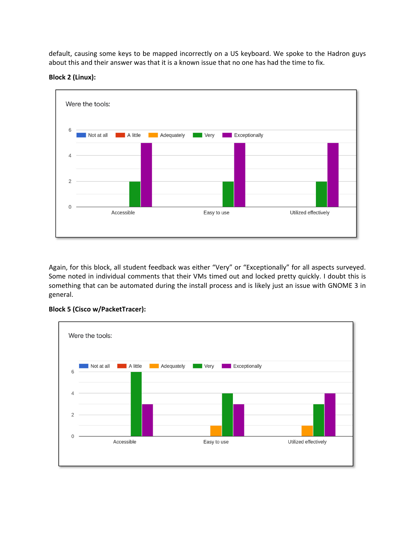default, causing some keys to be mapped incorrectly on a US keyboard. We spoke to the Hadron guys about this and their answer was that it is a known issue that no one has had the time to fix.





Again, for this block, all student feedback was either "Very" or "Exceptionally" for all aspects surveyed. Some noted in individual comments that their VMs timed out and locked pretty quickly. I doubt this is something that can be automated during the install process and is likely just an issue with GNOME 3 in general.